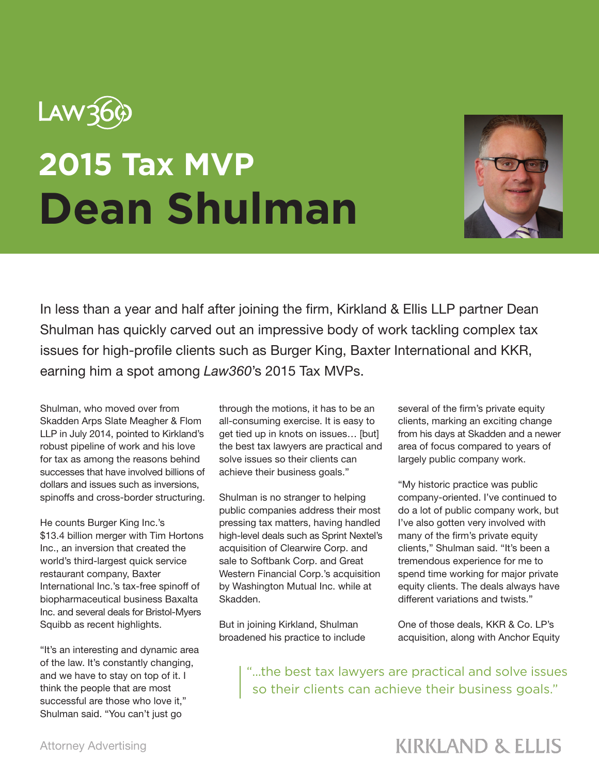

## **2015 Tax MVP Dean Shulman**



In less than a year and half after joining the firm, Kirkland & Ellis LLP partner Dean Shulman has quickly carved out an impressive body of work tackling complex tax issues for high-profile clients such as Burger King, Baxter International and KKR, earning him a spot among *Law360*'s 2015 Tax MVPs.

Shulman, who moved over from Skadden Arps Slate Meagher & Flom LLP in July 2014, pointed to Kirkland's robust pipeline of work and his love for tax as among the reasons behind successes that have involved billions of dollars and issues such as inversions, spinoffs and cross-border structuring.

He counts Burger King Inc.'s \$13.4 billion merger with Tim Hortons Inc., an inversion that created the world's third-largest quick service restaurant company, Baxter International Inc.'s tax-free spinoff of biopharmaceutical business Baxalta Inc. and several deals for Bristol-Myers Squibb as recent highlights.

"It's an interesting and dynamic area of the law. It's constantly changing, and we have to stay on top of it. I think the people that are most successful are those who love it," Shulman said. "You can't just go

through the motions, it has to be an all-consuming exercise. It is easy to get tied up in knots on issues… [but] the best tax lawyers are practical and solve issues so their clients can achieve their business goals."

Shulman is no stranger to helping public companies address their most pressing tax matters, having handled high-level deals such as Sprint Nextel's acquisition of Clearwire Corp. and sale to Softbank Corp. and Great Western Financial Corp.'s acquisition by Washington Mutual Inc. while at Skadden.

But in joining Kirkland, Shulman broadened his practice to include several of the firm's private equity clients, marking an exciting change from his days at Skadden and a newer area of focus compared to years of largely public company work.

"My historic practice was public company-oriented. I've continued to do a lot of public company work, but I've also gotten very involved with many of the firm's private equity clients," Shulman said. "It's been a tremendous experience for me to spend time working for major private equity clients. The deals always have different variations and twists."

One of those deals, KKR & Co. LP's acquisition, along with Anchor Equity

"...the best tax lawyers are practical and solve issues so their clients can achieve their business goals."